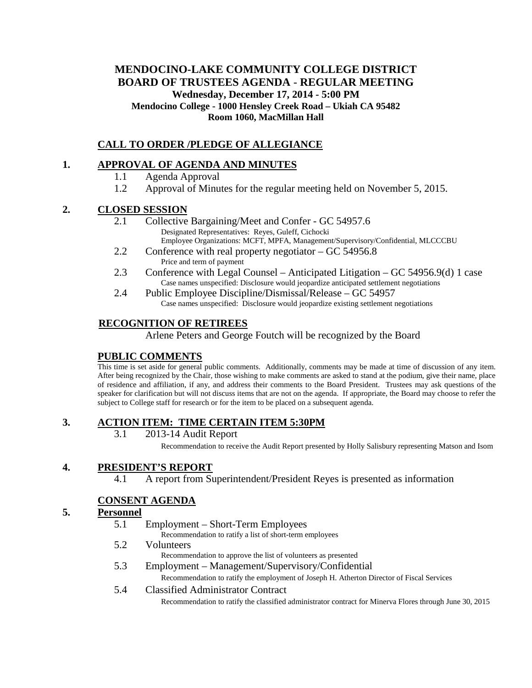# **MENDOCINO-LAKE COMMUNITY COLLEGE DISTRICT BOARD OF TRUSTEES AGENDA** - **REGULAR MEETING Wednesday, December 17, 2014 - 5:00 PM Mendocino College - 1000 Hensley Creek Road – Ukiah CA 95482 Room 1060, MacMillan Hall**

## **CALL TO ORDER /PLEDGE OF ALLEGIANCE**

### **1. APPROVAL OF AGENDA AND MINUTES**

- 1.1 Agenda Approval
- 1.2 Approval of Minutes for the regular meeting held on November 5, 2015.

#### **2. CLOSED SESSION**

- 2.1 Collective Bargaining/Meet and Confer GC 54957.6 Designated Representatives: Reyes, Guleff, Cichocki Employee Organizations: MCFT, MPFA, Management/Supervisory/Confidential, MLCCCBU
- 2.2 Conference with real property negotiator GC 54956.8 Price and term of payment
- 2.3 Conference with Legal Counsel Anticipated Litigation GC 54956.9(d) 1 case Case names unspecified: Disclosure would jeopardize anticipated settlement negotiations
- 2.4 Public Employee Discipline/Dismissal/Release GC 54957 Case names unspecified: Disclosure would jeopardize existing settlement negotiations

### **RECOGNITION OF RETIREES**

Arlene Peters and George Foutch will be recognized by the Board

### **PUBLIC COMMENTS**

This time is set aside for general public comments. Additionally, comments may be made at time of discussion of any item. After being recognized by the Chair, those wishing to make comments are asked to stand at the podium, give their name, place of residence and affiliation, if any, and address their comments to the Board President. Trustees may ask questions of the speaker for clarification but will not discuss items that are not on the agenda. If appropriate, the Board may choose to refer the subject to College staff for research or for the item to be placed on a subsequent agenda.

#### **3. ACTION ITEM: TIME CERTAIN ITEM 5:30PM**

3.1 2013-14 Audit Report

Recommendation to receive the Audit Report presented by Holly Salisbury representing Matson and Isom

#### **4. PRESIDENT'S REPORT**

4.1 A report from Superintendent/President Reyes is presented as information

### **CONSENT AGENDA**

#### **5. Personnel**

- 5.1 Employment Short-Term Employees Recommendation to ratify a list of short-term employees
- 5.2 Volunteers
	- Recommendation to approve the list of volunteers as presented
- 5.3 Employment Management/Supervisory/Confidential Recommendation to ratify the employment of Joseph H. Atherton Director of Fiscal Services
- 5.4 Classified Administrator Contract Recommendation to ratify the classified administrator contract for Minerva Flores through June 30, 2015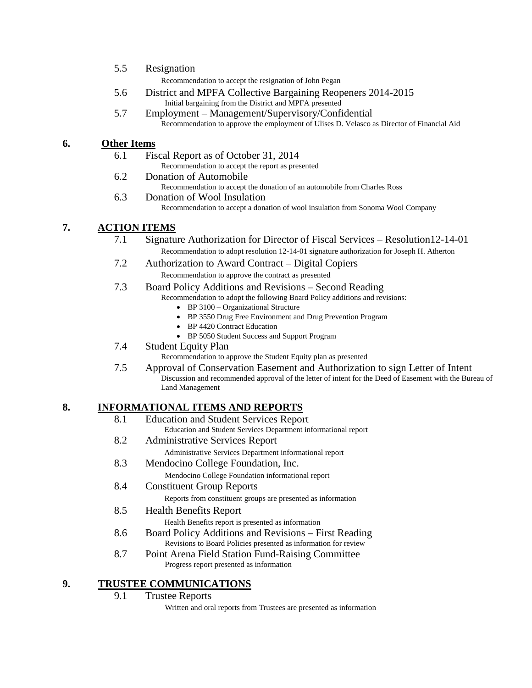5.5 Resignation

Recommendation to accept the resignation of John Pegan

- 5.6 District and MPFA Collective Bargaining Reopeners 2014-2015 Initial bargaining from the District and MPFA presented
- 5.7 Employment Management/Supervisory/Confidential Recommendation to approve the employment of Ulises D. Velasco as Director of Financial Aid

### **6. Other Items**

- 6.1 Fiscal Report as of October 31, 2014
	- Recommendation to accept the report as presented
- 6.2 Donation of Automobile
	- Recommendation to accept the donation of an automobile from Charles Ross
- 6.3 Donation of Wool Insulation Recommendation to accept a donation of wool insulation from Sonoma Wool Company

## **7. ACTION ITEMS**

- 7.1 Signature Authorization for Director of Fiscal Services Resolution12-14-01 Recommendation to adopt resolution 12-14-01 signature authorization for Joseph H. Atherton
- 7.2 Authorization to Award Contract Digital Copiers

Recommendation to approve the contract as presented

- 7.3 Board Policy Additions and Revisions Second Reading
	- Recommendation to adopt the following Board Policy additions and revisions:
		- BP 3100 Organizational Structure
		- BP 3550 Drug Free Environment and Drug Prevention Program
		- BP 4420 Contract Education
		- BP 5050 Student Success and Support Program
- 7.4 Student Equity Plan
	- Recommendation to approve the Student Equity plan as presented
- 7.5 Approval of Conservation Easement and Authorization to sign Letter of Intent Discussion and recommended approval of the letter of intent for the Deed of Easement with the Bureau of Land Management

# **8. INFORMATIONAL ITEMS AND REPORTS**

- 8.1 Education and Student Services Report
	- Education and Student Services Department informational report
- 8.2 Administrative Services Report
	- Administrative Services Department informational report
- 8.3 Mendocino College Foundation, Inc.

Mendocino College Foundation informational report

- 8.4 Constituent Group Reports Reports from constituent groups are presented as information
- 8.5 Health Benefits Report

Health Benefits report is presented as information

- 8.6 Board Policy Additions and Revisions First Reading Revisions to Board Policies presented as information for review
- 8.7 Point Arena Field Station Fund-Raising Committee Progress report presented as information

### **9. TRUSTEE COMMUNICATIONS**

9.1 Trustee Reports

Written and oral reports from Trustees are presented as information